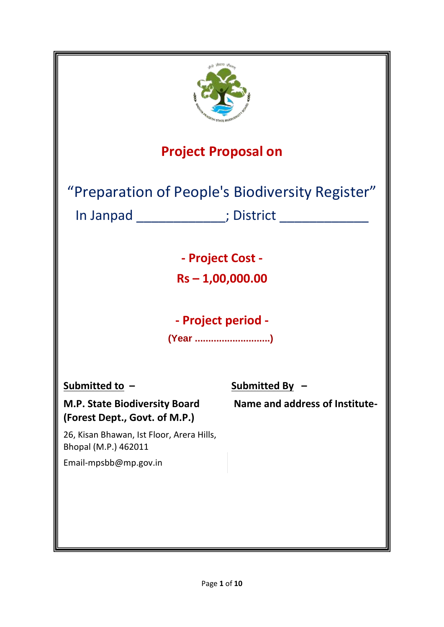| strated of each                                                                                                             |                                |  |  |
|-----------------------------------------------------------------------------------------------------------------------------|--------------------------------|--|--|
|                                                                                                                             | <b>Project Proposal on</b>     |  |  |
| "Preparation of People's Biodiversity Register"                                                                             |                                |  |  |
| research and the property point of the property of the second series of the series of the series of the series<br>In Janpad |                                |  |  |
| - Project Cost -<br>$Rs - 1,00,000.00$                                                                                      |                                |  |  |
| - Project period -<br>(Year )                                                                                               |                                |  |  |
| <b>Submitted to</b>                                                                                                         | <u>Submitted By</u>            |  |  |
| <b>M.P. State Biodiversity Board</b><br>(Forest Dept., Govt. of M.P.)                                                       | Name and address of Institute- |  |  |
| 26, Kisan Bhawan, Ist Floor, Arera Hills,<br>Bhopal (M.P.) 462011                                                           |                                |  |  |
| Email-mpsbb@mp.gov.in                                                                                                       |                                |  |  |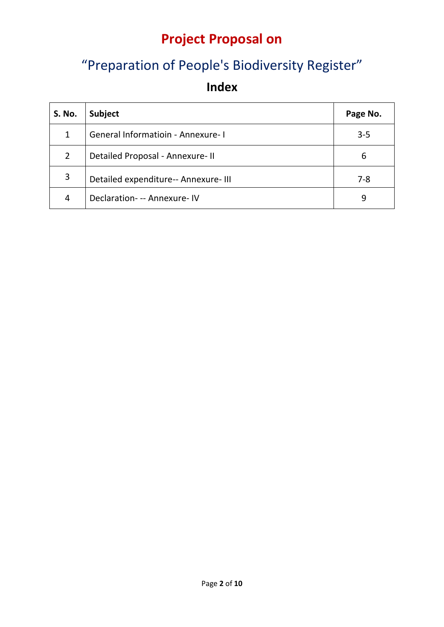# **Project Proposal on**

# "Preparation of People's Biodiversity Register"

#### **Index**

| <b>S. No.</b>  | <b>Subject</b>                       | Page No. |
|----------------|--------------------------------------|----------|
| 1              | General Informatioin - Annexure-I    | $3 - 5$  |
| $\overline{2}$ | Detailed Proposal - Annexure- II     | 6        |
| 3              | Detailed expenditure-- Annexure- III | $7 - 8$  |
| 4              | Declaration --- Annexure - IV        | 9        |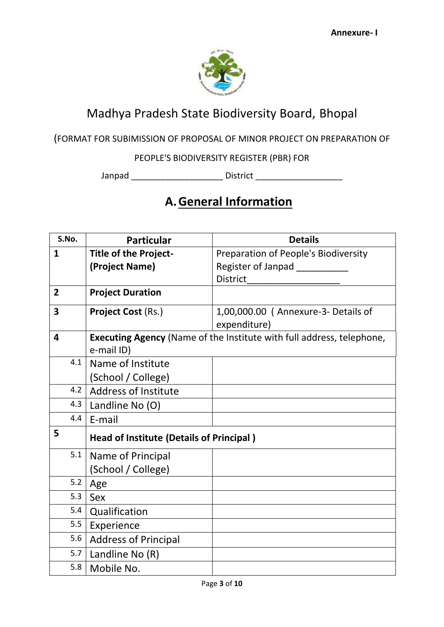

### Madhya Pradesh State Biodiversity Board, Bhopal

(FORMAT FOR SUBIMISSION OF PROPOSAL OF MINOR PROJECT ON PREPARATION OF

PEOPLE'S BIODIVERSITY REGISTER (PBR) FOR

Janpad \_\_\_\_\_\_\_\_\_\_\_\_\_\_\_\_\_\_\_ District \_\_\_\_\_\_\_\_\_\_\_\_\_\_\_\_\_\_

## **A.General Information**

|                         | S.No. | <b>Particular</b>                               | <b>Details</b>                                                        |  |
|-------------------------|-------|-------------------------------------------------|-----------------------------------------------------------------------|--|
| $\mathbf{1}$            |       | Title of the Project-                           | Preparation of People's Biodiversity                                  |  |
|                         |       | (Project Name)                                  | Register of Janpad ___________                                        |  |
|                         |       |                                                 | <b>District</b>                                                       |  |
| $\overline{2}$          |       | <b>Project Duration</b>                         |                                                                       |  |
| $\overline{\mathbf{3}}$ |       | <b>Project Cost (Rs.)</b>                       | 1,00,000.00 ( Annexure-3- Details of                                  |  |
|                         |       |                                                 | expenditure)                                                          |  |
| 4                       |       |                                                 | Executing Agency (Name of the Institute with full address, telephone, |  |
|                         |       | e-mail ID)                                      |                                                                       |  |
|                         | 4.1   | Name of Institute                               |                                                                       |  |
|                         |       | (School / College)                              |                                                                       |  |
|                         | 4.2   | <b>Address of Institute</b>                     |                                                                       |  |
|                         | 4.3   | Landline No (O)                                 |                                                                       |  |
|                         | 4.4   | E-mail                                          |                                                                       |  |
| 5                       |       | <b>Head of Institute (Details of Principal)</b> |                                                                       |  |
|                         | 5.1   | Name of Principal                               |                                                                       |  |
|                         |       | (School / College)                              |                                                                       |  |
|                         | 5.2   | Age                                             |                                                                       |  |
|                         | 5.3   | Sex                                             |                                                                       |  |
|                         | 5.4   | Qualification                                   |                                                                       |  |
|                         | 5.5   | Experience                                      |                                                                       |  |
|                         | 5.6   | <b>Address of Principal</b>                     |                                                                       |  |
|                         | 5.7   | Landline No (R)                                 |                                                                       |  |
|                         | 5.8   | Mobile No.                                      |                                                                       |  |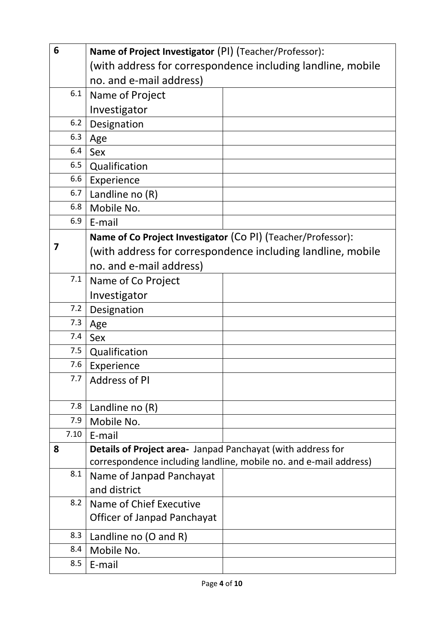| 6 |       | <b>Name of Project Investigator (PI) (Teacher/Professor):</b>     |                                                             |  |
|---|-------|-------------------------------------------------------------------|-------------------------------------------------------------|--|
|   |       | (with address for correspondence including landline, mobile       |                                                             |  |
|   |       | no. and e-mail address)                                           |                                                             |  |
|   | 6.1   | Name of Project                                                   |                                                             |  |
|   |       | Investigator                                                      |                                                             |  |
|   | 6.2   | Designation                                                       |                                                             |  |
|   | 6.3   | Age                                                               |                                                             |  |
|   | 6.4   | Sex                                                               |                                                             |  |
|   | 6.5   | Qualification                                                     |                                                             |  |
|   | 6.6   | Experience                                                        |                                                             |  |
|   | 6.7   | Landline no (R)                                                   |                                                             |  |
|   | 6.8   | Mobile No.                                                        |                                                             |  |
|   | 6.9   | E-mail                                                            |                                                             |  |
|   |       | Name of Co Project Investigator (Co PI) (Teacher/Professor):      |                                                             |  |
| 7 |       |                                                                   | (with address for correspondence including landline, mobile |  |
|   |       | no. and e-mail address)                                           |                                                             |  |
|   | $7.1$ | Name of Co Project                                                |                                                             |  |
|   |       | Investigator                                                      |                                                             |  |
|   | 7.2   | Designation                                                       |                                                             |  |
|   | 7.3   | Age                                                               |                                                             |  |
|   | 7.4   | Sex                                                               |                                                             |  |
|   | 7.5   | Qualification                                                     |                                                             |  |
|   | 7.6   | Experience                                                        |                                                             |  |
|   | 7.7   | Address of PI                                                     |                                                             |  |
|   |       |                                                                   |                                                             |  |
|   | 7.8   | Landline no $(R)$                                                 |                                                             |  |
|   | 7.9   | Mobile No.                                                        |                                                             |  |
|   | 7.10  | E-mail                                                            |                                                             |  |
| 8 |       | Details of Project area- Janpad Panchayat (with address for       |                                                             |  |
|   |       | correspondence including landline, mobile no. and e-mail address) |                                                             |  |
|   | 8.1   | Name of Janpad Panchayat                                          |                                                             |  |
|   |       | and district                                                      |                                                             |  |
|   | 8.2   | Name of Chief Executive                                           |                                                             |  |
|   |       | Officer of Janpad Panchayat                                       |                                                             |  |
|   | 8.3   | Landline no (O and R)                                             |                                                             |  |
|   | 8.4   | Mobile No.                                                        |                                                             |  |
|   | 8.5   | E-mail                                                            |                                                             |  |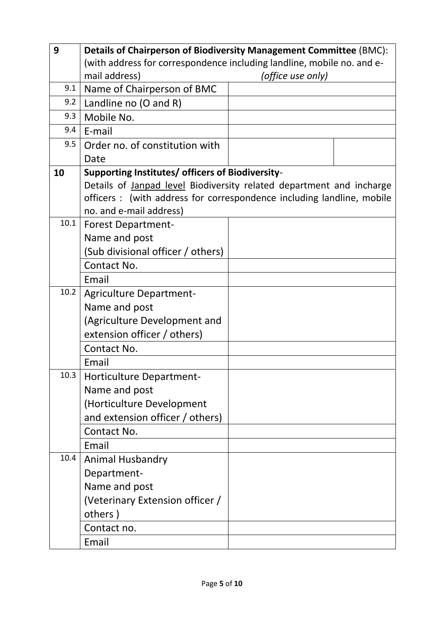| 9    | Details of Chairperson of Biodiversity Management Committee (BMC):     |                   |  |
|------|------------------------------------------------------------------------|-------------------|--|
|      | (with address for correspondence including landline, mobile no. and e- |                   |  |
|      | mail address)                                                          | (office use only) |  |
| 9.1  | Name of Chairperson of BMC                                             |                   |  |
| 9.2  | Landline no (O and R)                                                  |                   |  |
| 9.3  | Mobile No.                                                             |                   |  |
| 9.4  | E-mail                                                                 |                   |  |
| 9.5  | Order no. of constitution with                                         |                   |  |
|      | Date                                                                   |                   |  |
| 10   | Supporting Institutes/ officers of Biodiversity-                       |                   |  |
|      | Details of Janpad level Biodiversity related department and incharge   |                   |  |
|      | officers : (with address for correspondence including landline, mobile |                   |  |
|      | no. and e-mail address)                                                |                   |  |
| 10.1 | <b>Forest Department-</b>                                              |                   |  |
|      | Name and post                                                          |                   |  |
|      | (Sub divisional officer / others)                                      |                   |  |
|      | Contact No.                                                            |                   |  |
|      | Email                                                                  |                   |  |
| 10.2 | <b>Agriculture Department-</b>                                         |                   |  |
|      | Name and post                                                          |                   |  |
|      | (Agriculture Development and                                           |                   |  |
|      | extension officer / others)                                            |                   |  |
|      | Contact No.                                                            |                   |  |
|      | Email                                                                  |                   |  |
| 10.3 | Horticulture Department-                                               |                   |  |
|      | Name and post                                                          |                   |  |
|      | (Horticulture Development                                              |                   |  |
|      | and extension officer / others)                                        |                   |  |
|      | Contact No.                                                            |                   |  |
|      | Email                                                                  |                   |  |
| 10.4 | <b>Animal Husbandry</b>                                                |                   |  |
|      | Department-                                                            |                   |  |
|      | Name and post                                                          |                   |  |
|      | (Veterinary Extension officer /                                        |                   |  |
|      | others)                                                                |                   |  |
|      | Contact no.                                                            |                   |  |
|      | Email                                                                  |                   |  |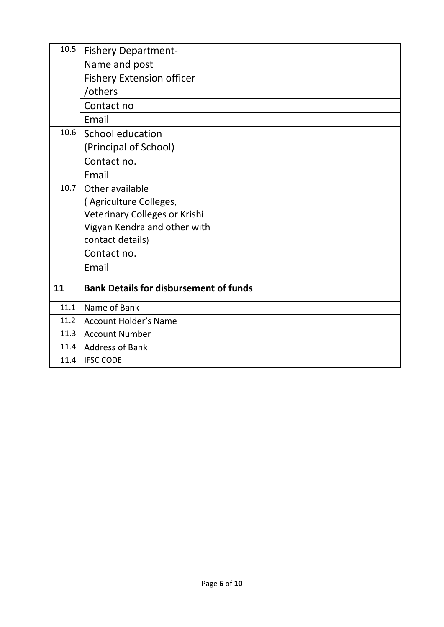| 10.5 | <b>Fishery Department-</b>                    |  |
|------|-----------------------------------------------|--|
|      | Name and post                                 |  |
|      | <b>Fishery Extension officer</b>              |  |
|      | /others                                       |  |
|      | Contact no                                    |  |
|      | Email                                         |  |
| 10.6 | School education                              |  |
|      | (Principal of School)                         |  |
|      | Contact no.                                   |  |
|      | Email                                         |  |
| 10.7 | Other available                               |  |
|      | (Agriculture Colleges,                        |  |
|      | Veterinary Colleges or Krishi                 |  |
|      | Vigyan Kendra and other with                  |  |
|      | contact details)                              |  |
|      | Contact no.                                   |  |
|      | Email                                         |  |
| 11   | <b>Bank Details for disbursement of funds</b> |  |
| 11.1 | Name of Bank                                  |  |
| 11.2 | <b>Account Holder's Name</b>                  |  |
| 11.3 | <b>Account Number</b>                         |  |
| 11.4 | <b>Address of Bank</b>                        |  |
| 11.4 | <b>IFSC CODE</b>                              |  |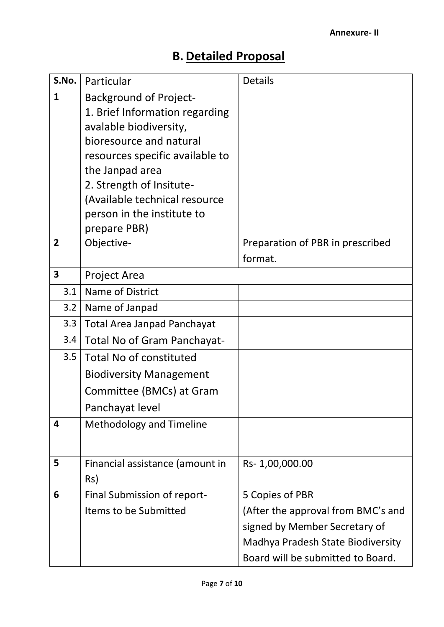#### **Annexure- II**

## **B. Detailed Proposal**

| S.No.          | Particular                                                                                                                                                                                                                                                                            | <b>Details</b>                              |
|----------------|---------------------------------------------------------------------------------------------------------------------------------------------------------------------------------------------------------------------------------------------------------------------------------------|---------------------------------------------|
| $\mathbf{1}$   | <b>Background of Project-</b><br>1. Brief Information regarding<br>avalable biodiversity,<br>bioresource and natural<br>resources specific available to<br>the Janpad area<br>2. Strength of Insitute-<br>(Available technical resource<br>person in the institute to<br>prepare PBR) |                                             |
| $\overline{2}$ | Objective-                                                                                                                                                                                                                                                                            | Preparation of PBR in prescribed<br>format. |
| 3              | Project Area                                                                                                                                                                                                                                                                          |                                             |
| 3.1            | Name of District                                                                                                                                                                                                                                                                      |                                             |
| 3.2            | Name of Janpad                                                                                                                                                                                                                                                                        |                                             |
| 3.3            | <b>Total Area Janpad Panchayat</b>                                                                                                                                                                                                                                                    |                                             |
| 3.4            | <b>Total No of Gram Panchayat-</b>                                                                                                                                                                                                                                                    |                                             |
| 3.5            | <b>Total No of constituted</b>                                                                                                                                                                                                                                                        |                                             |
|                | <b>Biodiversity Management</b>                                                                                                                                                                                                                                                        |                                             |
|                | Committee (BMCs) at Gram                                                                                                                                                                                                                                                              |                                             |
|                | Panchayat level                                                                                                                                                                                                                                                                       |                                             |
| 4              | <b>Methodology and Timeline</b>                                                                                                                                                                                                                                                       |                                             |
| 5              | Financial assistance (amount in<br>Rs)                                                                                                                                                                                                                                                | Rs-1,00,000.00                              |
| 6              | Final Submission of report-                                                                                                                                                                                                                                                           | 5 Copies of PBR                             |
|                | Items to be Submitted                                                                                                                                                                                                                                                                 | (After the approval from BMC's and          |
|                |                                                                                                                                                                                                                                                                                       | signed by Member Secretary of               |
|                |                                                                                                                                                                                                                                                                                       | Madhya Pradesh State Biodiversity           |
|                |                                                                                                                                                                                                                                                                                       | Board will be submitted to Board.           |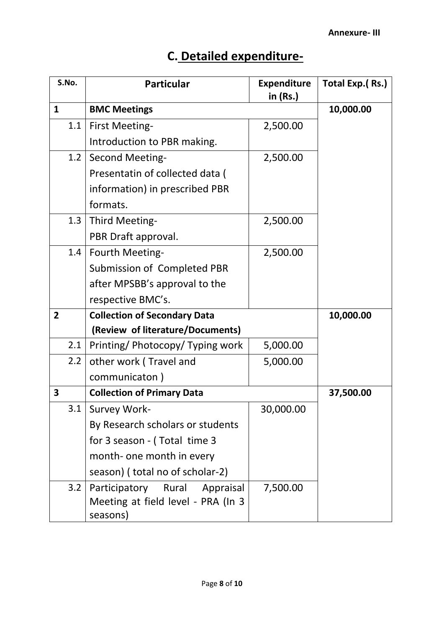|                | S.No. | <b>Particular</b>                                                                     | <b>Expenditure</b><br>in (Rs.) | Total Exp.(Rs.) |
|----------------|-------|---------------------------------------------------------------------------------------|--------------------------------|-----------------|
| $\mathbf{1}$   |       | <b>BMC Meetings</b>                                                                   |                                | 10,000.00       |
|                | 1.1   | <b>First Meeting-</b>                                                                 | 2,500.00                       |                 |
|                |       | Introduction to PBR making.                                                           |                                |                 |
|                | 1.2   | <b>Second Meeting-</b>                                                                | 2,500.00                       |                 |
|                |       | Presentatin of collected data (                                                       |                                |                 |
|                |       | information) in prescribed PBR                                                        |                                |                 |
|                |       | formats.                                                                              |                                |                 |
|                | 1.3   | <b>Third Meeting-</b>                                                                 | 2,500.00                       |                 |
|                |       | PBR Draft approval.                                                                   |                                |                 |
|                | 1.4   | Fourth Meeting-                                                                       | 2,500.00                       |                 |
|                |       | Submission of Completed PBR                                                           |                                |                 |
|                |       | after MPSBB's approval to the                                                         |                                |                 |
|                |       | respective BMC's.                                                                     |                                |                 |
| $\overline{2}$ |       | <b>Collection of Secondary Data</b>                                                   |                                | 10,000.00       |
|                |       | (Review of literature/Documents)                                                      |                                |                 |
|                | 2.1   | Printing/ Photocopy/ Typing work                                                      | 5,000.00                       |                 |
|                | 2.2   | other work (Travel and                                                                | 5,000.00                       |                 |
|                |       | communicaton)                                                                         |                                |                 |
| 3              |       | <b>Collection of Primary Data</b>                                                     |                                | 37,500.00       |
|                | 3.1   | Survey Work-                                                                          | 30,000.00                      |                 |
|                |       | By Research scholars or students                                                      |                                |                 |
|                |       | for 3 season - (Total time 3                                                          |                                |                 |
|                |       | month- one month in every                                                             |                                |                 |
|                |       | season) (total no of scholar-2)                                                       |                                |                 |
|                | 3.2   | Participatory<br>Rural<br>Appraisal<br>Meeting at field level - PRA (In 3<br>seasons) | 7,500.00                       |                 |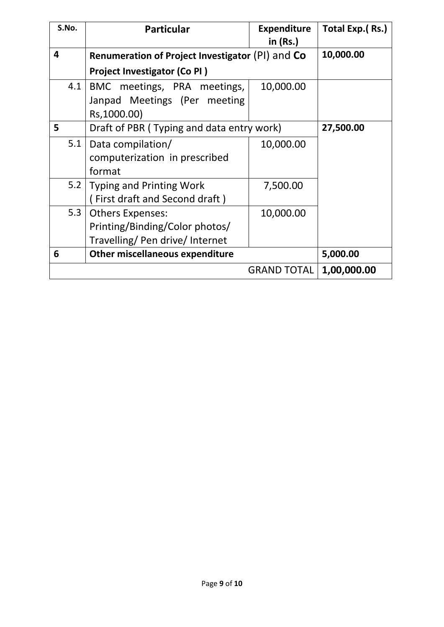| S.No. |                                                  | <b>Particular</b>                         | <b>Expenditure</b><br>in $(Rs.)$ | Total Exp.(Rs.) |
|-------|--------------------------------------------------|-------------------------------------------|----------------------------------|-----------------|
| 4     | Renumeration of Project Investigator (PI) and Co |                                           | 10,000.00                        |                 |
|       |                                                  | <b>Project Investigator (Co PI)</b>       |                                  |                 |
|       | 4.1                                              | BMC meetings, PRA meetings,               | 10,000.00                        |                 |
|       |                                                  | Janpad Meetings (Per meeting              |                                  |                 |
|       |                                                  | Rs, 1000.00)                              |                                  |                 |
| 5     |                                                  | Draft of PBR (Typing and data entry work) |                                  | 27,500.00       |
|       | 5.1                                              | Data compilation/                         | 10,000.00                        |                 |
|       |                                                  | computerization in prescribed             |                                  |                 |
|       |                                                  | format                                    |                                  |                 |
|       | 5.2                                              | <b>Typing and Printing Work</b>           | 7,500.00                         |                 |
|       |                                                  | (First draft and Second draft)            |                                  |                 |
|       | 5.3                                              | <b>Others Expenses:</b>                   | 10,000.00                        |                 |
|       |                                                  | Printing/Binding/Color photos/            |                                  |                 |
|       |                                                  | Travelling/ Pen drive/ Internet           |                                  |                 |
| 6     |                                                  | <b>Other miscellaneous expenditure</b>    |                                  | 5,000.00        |
|       |                                                  |                                           | <b>GRAND TOTAL</b>               | 1,00,000.00     |